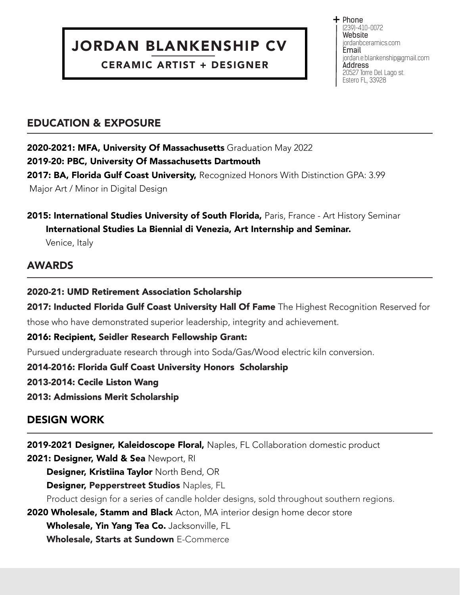# JORDAN BLANKENSHIP CV

CERAMIC ARTIST + DESIGNER

 $\pm$  Phone (239)-410-0072 Website jordanbceramics.com Email jordan.e.blankenship@gmail.com Address 20527 Torre Del Lago st. Estero FL, 33928

# EDUCATION & EXPOSURE

2020-2021: MFA, University Of Massachusetts Graduation May 2022

## 2019-20: PBC, University Of Massachusetts Dartmouth

2017: BA, Florida Gulf Coast University, Recognized Honors With Distinction GPA: 3.99 Major Art / Minor in Digital Design

2015: International Studies University of South Florida, Paris, France - Art History Seminar International Studies La Biennial di Venezia, Art Internship and Seminar.

Venice, Italy

# AWARDS

# 2020-21: UMD Retirement Association Scholarship

2017: Inducted Florida Gulf Coast University Hall Of Fame The Highest Recognition Reserved for

those who have demonstrated superior leadership, integrity and achievement.

# 2016: Recipient, Seidler Research Fellowship Grant:

Pursued undergraduate research through into Soda/Gas/Wood electric kiln conversion.

# 2014-2016: Florida Gulf Coast University Honors Scholarship

2013-2014: Cecile Liston Wang

2013: Admissions Merit Scholarship

# DESIGN WORK

2019-2021 Designer, Kaleidoscope Floral, Naples, FL Collaboration domestic product

2021: Designer, Wald & Sea Newport, RI

Designer, Kristiina Taylor North Bend, OR

Designer, Pepperstreet Studios Naples, FL

Product design for a series of candle holder designs, sold throughout southern regions.

2020 Wholesale, Stamm and Black Acton, MA interior design home decor store

Wholesale, Yin Yang Tea Co. Jacksonville, FL

Wholesale, Starts at Sundown E-Commerce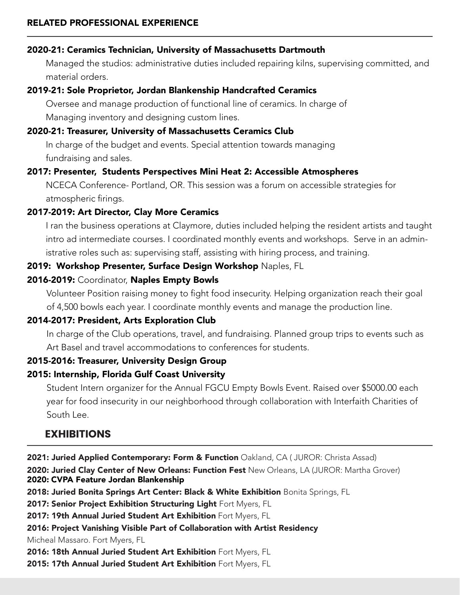## 2020-21: Ceramics Technician, University of Massachusetts Dartmouth

Managed the studios: administrative duties included repairing kilns, supervising committed, and material orders.

#### 2019-21: Sole Proprietor, Jordan Blankenship Handcrafted Ceramics

Oversee and manage production of functional line of ceramics. In charge of Managing inventory and designing custom lines.

#### 2020-21: Treasurer, University of Massachusetts Ceramics Club

In charge of the budget and events. Special attention towards managing fundraising and sales.

#### 2017: Presenter, Students Perspectives Mini Heat 2: Accessible Atmospheres

NCECA Conference- Portland, OR. This session was a forum on accessible strategies for atmospheric firings.

#### 2017-2019: Art Director, Clay More Ceramics

I ran the business operations at Claymore, duties included helping the resident artists and taught intro ad intermediate courses. I coordinated monthly events and workshops. Serve in an administrative roles such as: supervising staff, assisting with hiring process, and training.

#### 2019: Workshop Presenter, Surface Design Workshop Naples, FL

#### 2016-2019: Coordinator, Naples Empty Bowls

Volunteer Position raising money to fight food insecurity. Helping organization reach their goal of 4,500 bowls each year. I coordinate monthly events and manage the production line.

#### 2014-2017: President, Arts Exploration Club

In charge of the Club operations, travel, and fundraising. Planned group trips to events such as Art Basel and travel accommodations to conferences for students.

#### 2015-2016: Treasurer, University Design Group

#### 2015: Internship, Florida Gulf Coast University

Student Intern organizer for the Annual FGCU Empty Bowls Event. Raised over \$5000.00 each year for food insecurity in our neighborhood through collaboration with Interfaith Charities of South Lee.

# **EXHIBITIONS**

2021: Juried Applied Contemporary: Form & Function Oakland, CA ( JUROR: Christa Assad) 2020: Juried Clay Center of New Orleans: Function Fest New Orleans, LA (JUROR: Martha Grover) 2020: CVPA Feature Jordan Blankenship 2018: Juried Bonita Springs Art Center: Black & White Exhibition Bonita Springs, FL 2017: Senior Project Exhibition Structuring Light Fort Myers, FL 2017: 19th Annual Juried Student Art Exhibition Fort Myers, FL 2016: Project Vanishing Visible Part of Collaboration with Artist Residency Micheal Massaro. Fort Myers, FL 2016: 18th Annual Juried Student Art Exhibition Fort Myers, FL 2015: 17th Annual Juried Student Art Exhibition Fort Myers, FL